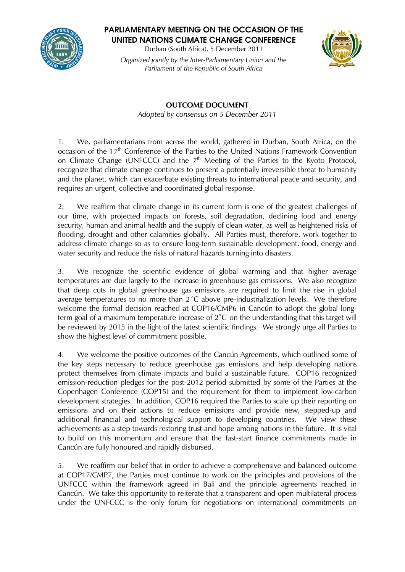

**PARLIAMENTARY MEETING ON THE OCCASION OF THE UNITED NATIONS CLIMATE CHANGE CONFERENCE**

Durban (South Africa), 5 December 2011 *Organized jointly by the Inter-Parliamentary Union and the Parliament of the Republic of South Africa*



**OUTCOME DOCUMENT** *Adopted by consensus on 5 December 2011*

1. We, parliamentarians from across the world, gathered in Durban, South Africa, on the occasion of the 17<sup>th</sup> Conference of the Parties to the United Nations Framework Convention on Climate Change (UNFCCC) and the 7<sup>th</sup> Meeting of the Parties to the Kyoto Protocol, recognize that climate change continues to present a potentially irreversible threat to humanity and the planet, which can exacerbate existing threats to international peace and security, and requires an urgent, collective and coordinated global response.

2. We reaffirm that climate change in its current form is one of the greatest challenges of our time, with projected impacts on forests, soil degradation, declining food and energy security, human and animal health and the supply of clean water, as well as heightened risks of flooding, drought and other calamities globally. All Parties must, therefore, work together to address climate change so as to ensure long-term sustainable development, food, energy and water security and reduce the risks of natural hazards turning into disasters.

3. We recognize the scientific evidence of global warming and that higher average temperatures are due largely to the increase in greenhouse gas emissions. We also recognize that deep cuts in global greenhouse gas emissions are required to limit the rise in global average temperatures to no more than 2˚C above pre-industrialization levels. We therefore welcome the formal decision reached at COP16/CMP6 in Cancún to adopt the global longterm goal of a maximum temperature increase of 2˚C on the understanding that this target will be reviewed by 2015 in the light of the latest scientific findings. We strongly urge all Parties to show the highest level of commitment possible.

4. We welcome the positive outcomes of the Cancún Agreements, which outlined some of the key steps necessary to reduce greenhouse gas emissions and help developing nations protect themselves from climate impacts and build a sustainable future. COP16 recognized emission-reduction pledges for the post-2012 period submitted by some of the Parties at the Copenhagen Conference (COP15) and the requirement for them to implement low-carbon development strategies. In addition, COP16 required the Parties to scale up their reporting on emissions and on their actions to reduce emissions and provide new, stepped-up and additional financial and technological support to developing countries. We view these achievements as a step towards restoring trust and hope among nations in the future. It is vital to build on this momentum and ensure that the fast-start finance commitments made in Cancún are fully honoured and rapidly disbursed.

5. We reaffirm our belief that in order to achieve a comprehensive and balanced outcome at COP17/CMP7, the Parties must continue to work on the principles and provisions of the UNFCCC within the framework agreed in Bali and the principle agreements reached in Cancún. We take this opportunity to reiterate that a transparent and open multilateral process under the UNFCCC is the only forum for negotiations on international commitments on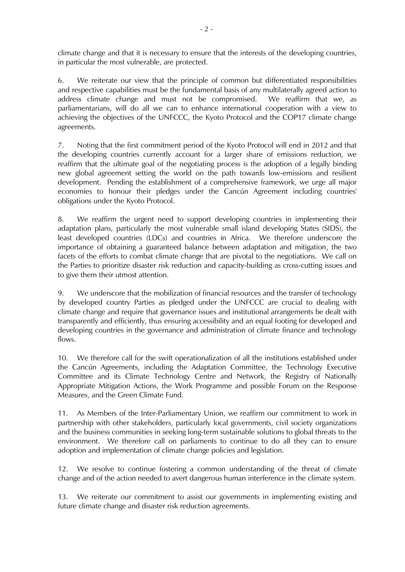climate change and that it is necessary to ensure that the interests of the developing countries, in particular the most vulnerable, are protected.

6. We reiterate our view that the principle of common but differentiated responsibilities and respective capabilities must be the fundamental basis of any multilaterally agreed action to address climate change and must not be compromised. We reaffirm that we, as parliamentarians, will do all we can to enhance international cooperation with a view to achieving the objectives of the UNFCCC, the Kyoto Protocol and the COP17 climate change agreements.

7. Noting that the first commitment period of the Kyoto Protocol will end in 2012 and that the developing countries currently account for a larger share of emissions reduction, we reaffirm that the ultimate goal of the negotiating process is the adoption of a legally binding new global agreement setting the world on the path towards low-emissions and resilient development. Pending the establishment of a comprehensive framework, we urge all major economies to honour their pledges under the Cancún Agreement including countries' obligations under the Kyoto Protocol.

8. We reaffirm the urgent need to support developing countries in implementing their adaptation plans, particularly the most vulnerable small island developing States (SIDS), the least developed countries (LDCs) and countries in Africa. We therefore underscore the importance of obtaining a guaranteed balance between adaptation and mitigation, the two facets of the efforts to combat climate change that are pivotal to the negotiations. We call on the Parties to prioritize disaster risk reduction and capacity-building as cross-cutting issues and to give them their utmost attention.

9. We underscore that the mobilization of financial resources and the transfer of technology by developed country Parties as pledged under the UNFCCC are crucial to dealing with climate change and require that governance issues and institutional arrangements be dealt with transparently and efficiently, thus ensuring accessibility and an equal footing for developed and developing countries in the governance and administration of climate finance and technology flows.

10. We therefore call for the swift operationalization of all the institutions established under the Cancún Agreements, including the Adaptation Committee, the Technology Executive Committee and its Climate Technology Centre and Network, the Registry of Nationally Appropriate Mitigation Actions, the Work Programme and possible Forum on the Response Measures, and the Green Climate Fund.

11. As Members of the Inter-Parliamentary Union, we reaffirm our commitment to work in partnership with other stakeholders, particularly local governments, civil society organizations and the business communities in seeking long-term sustainable solutions to global threats to the environment. We therefore call on parliaments to continue to do all they can to ensure adoption and implementation of climate change policies and legislation.

12. We resolve to continue fostering a common understanding of the threat of climate change and of the action needed to avert dangerous human interference in the climate system.

13. We reiterate our commitment to assist our governments in implementing existing and future climate change and disaster risk reduction agreements.